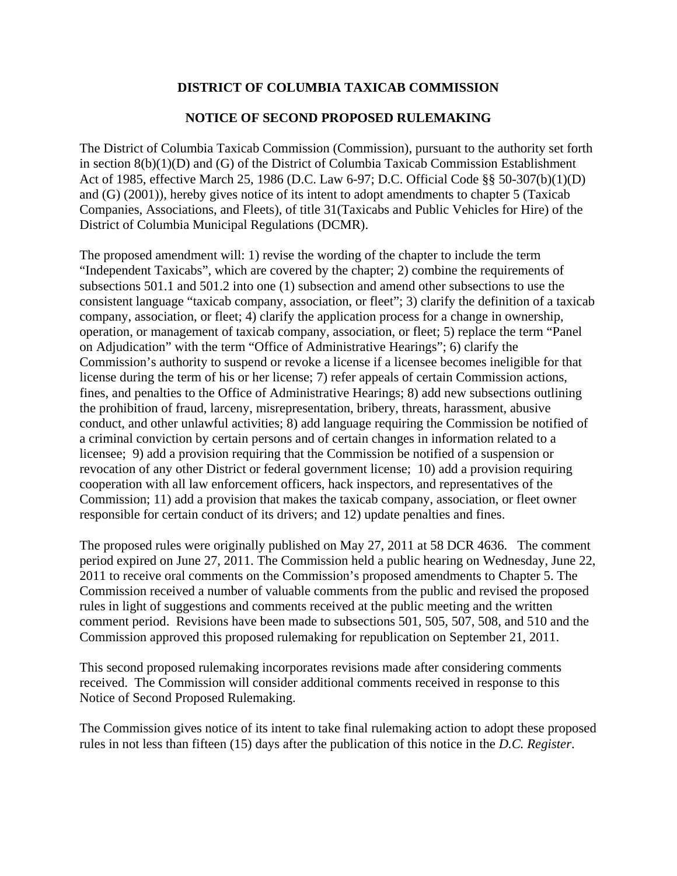# **DISTRICT OF COLUMBIA TAXICAB COMMISSION**

## **NOTICE OF SECOND PROPOSED RULEMAKING**

The District of Columbia Taxicab Commission (Commission), pursuant to the authority set forth in section 8(b)(1)(D) and (G) of the District of Columbia Taxicab Commission Establishment Act of 1985, effective March 25, 1986 (D.C. Law 6-97; D.C. Official Code §§ 50-307(b)(1)(D) and (G) (2001)), hereby gives notice of its intent to adopt amendments to chapter 5 (Taxicab Companies, Associations, and Fleets), of title 31(Taxicabs and Public Vehicles for Hire) of the District of Columbia Municipal Regulations (DCMR).

The proposed amendment will: 1) revise the wording of the chapter to include the term "Independent Taxicabs", which are covered by the chapter; 2) combine the requirements of subsections 501.1 and 501.2 into one (1) subsection and amend other subsections to use the consistent language "taxicab company, association, or fleet"; 3) clarify the definition of a taxicab company, association, or fleet; 4) clarify the application process for a change in ownership, operation, or management of taxicab company, association, or fleet; 5) replace the term "Panel on Adjudication" with the term "Office of Administrative Hearings"; 6) clarify the Commission's authority to suspend or revoke a license if a licensee becomes ineligible for that license during the term of his or her license; 7) refer appeals of certain Commission actions, fines, and penalties to the Office of Administrative Hearings; 8) add new subsections outlining the prohibition of fraud, larceny, misrepresentation, bribery, threats, harassment, abusive conduct, and other unlawful activities; 8) add language requiring the Commission be notified of a criminal conviction by certain persons and of certain changes in information related to a licensee; 9) add a provision requiring that the Commission be notified of a suspension or revocation of any other District or federal government license; 10) add a provision requiring cooperation with all law enforcement officers, hack inspectors, and representatives of the Commission; 11) add a provision that makes the taxicab company, association, or fleet owner responsible for certain conduct of its drivers; and 12) update penalties and fines.

The proposed rules were originally published on May 27, 2011 at 58 DCR 4636. The comment period expired on June 27, 2011. The Commission held a public hearing on Wednesday, June 22, 2011 to receive oral comments on the Commission's proposed amendments to Chapter 5. The Commission received a number of valuable comments from the public and revised the proposed rules in light of suggestions and comments received at the public meeting and the written comment period. Revisions have been made to subsections 501, 505, 507, 508, and 510 and the Commission approved this proposed rulemaking for republication on September 21, 2011.

This second proposed rulemaking incorporates revisions made after considering comments received. The Commission will consider additional comments received in response to this Notice of Second Proposed Rulemaking.

The Commission gives notice of its intent to take final rulemaking action to adopt these proposed rules in not less than fifteen (15) days after the publication of this notice in the *D.C. Register*.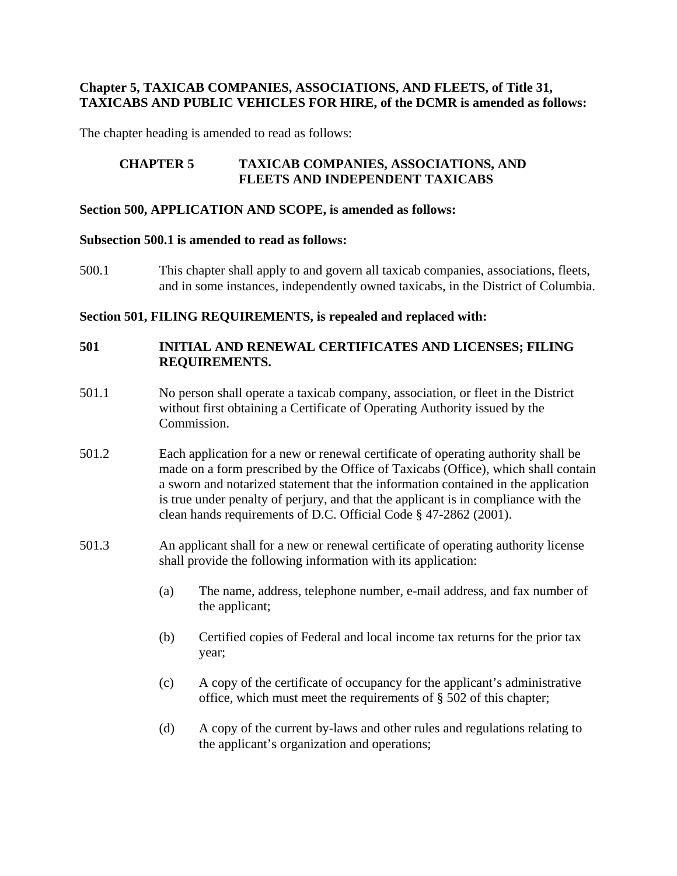## **Chapter 5, TAXICAB COMPANIES, ASSOCIATIONS, AND FLEETS, of Title 31, TAXICABS AND PUBLIC VEHICLES FOR HIRE, of the DCMR is amended as follows:**

The chapter heading is amended to read as follows:

## **CHAPTER 5 TAXICAB COMPANIES, ASSOCIATIONS, AND FLEETS AND INDEPENDENT TAXICABS**

#### **Section 500, APPLICATION AND SCOPE, is amended as follows:**

#### **Subsection 500.1 is amended to read as follows:**

500.1 This chapter shall apply to and govern all taxicab companies, associations, fleets, and in some instances, independently owned taxicabs, in the District of Columbia.

#### **Section 501, FILING REQUIREMENTS, is repealed and replaced with:**

## **501 INITIAL AND RENEWAL CERTIFICATES AND LICENSES; FILING REQUIREMENTS.**

- 501.1 No person shall operate a taxicab company, association, or fleet in the District without first obtaining a Certificate of Operating Authority issued by the Commission.
- 501.2 Each application for a new or renewal certificate of operating authority shall be made on a form prescribed by the Office of Taxicabs (Office), which shall contain a sworn and notarized statement that the information contained in the application is true under penalty of perjury, and that the applicant is in compliance with the clean hands requirements of D.C. Official Code § 47-2862 (2001).
- 501.3 An applicant shall for a new or renewal certificate of operating authority license shall provide the following information with its application:
	- (a) The name, address, telephone number, e-mail address, and fax number of the applicant;
	- (b) Certified copies of Federal and local income tax returns for the prior tax year;
	- (c) A copy of the certificate of occupancy for the applicant's administrative office, which must meet the requirements of § 502 of this chapter;
	- (d) A copy of the current by-laws and other rules and regulations relating to the applicant's organization and operations;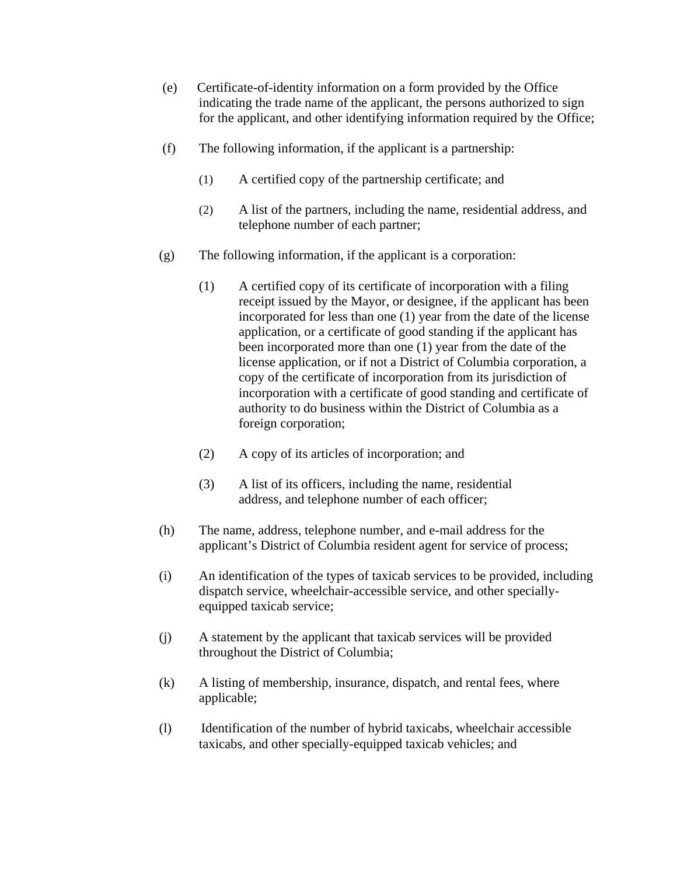- (e) Certificate-of-identity information on a form provided by the Office indicating the trade name of the applicant, the persons authorized to sign for the applicant, and other identifying information required by the Office;
- (f) The following information, if the applicant is a partnership:
	- (1) A certified copy of the partnership certificate; and
	- (2) A list of the partners, including the name, residential address, and telephone number of each partner;
- (g) The following information, if the applicant is a corporation:
	- (1) A certified copy of its certificate of incorporation with a filing receipt issued by the Mayor, or designee, if the applicant has been incorporated for less than one (1) year from the date of the license application, or a certificate of good standing if the applicant has been incorporated more than one (1) year from the date of the license application, or if not a District of Columbia corporation, a copy of the certificate of incorporation from its jurisdiction of incorporation with a certificate of good standing and certificate of authority to do business within the District of Columbia as a foreign corporation;
	- (2) A copy of its articles of incorporation; and
	- (3) A list of its officers, including the name, residential address, and telephone number of each officer;
- (h) The name, address, telephone number, and e-mail address for the applicant's District of Columbia resident agent for service of process;
- (i) An identification of the types of taxicab services to be provided, including dispatch service, wheelchair-accessible service, and other speciallyequipped taxicab service;
- (j) A statement by the applicant that taxicab services will be provided throughout the District of Columbia;
- (k) A listing of membership, insurance, dispatch, and rental fees, where applicable;
- (l) Identification of the number of hybrid taxicabs, wheelchair accessible taxicabs, and other specially-equipped taxicab vehicles; and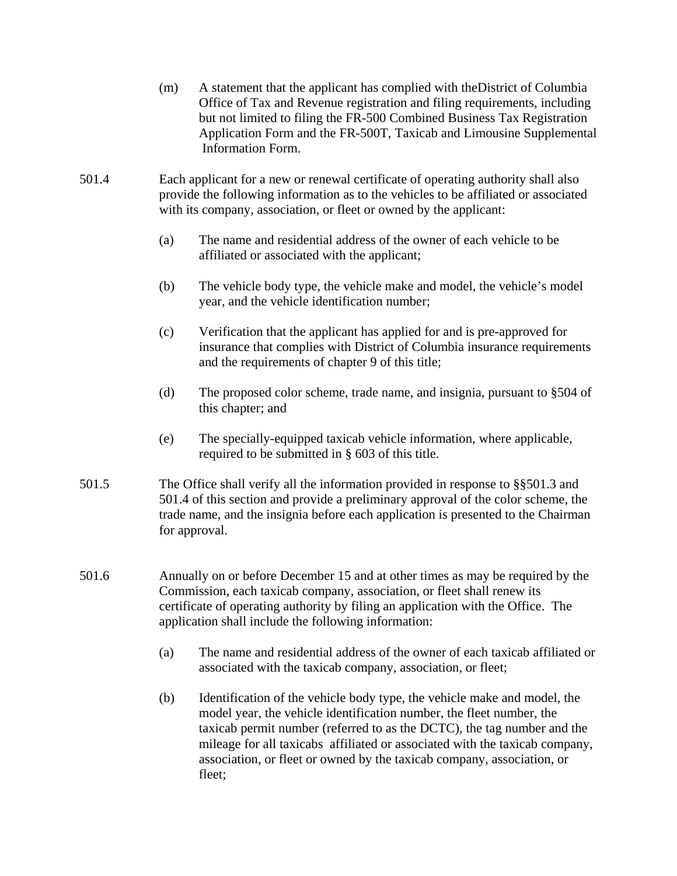- (m) A statement that the applicant has complied with theDistrict of Columbia Office of Tax and Revenue registration and filing requirements, including but not limited to filing the FR-500 Combined Business Tax Registration Application Form and the FR-500T, Taxicab and Limousine Supplemental Information Form.
- 501.4 Each applicant for a new or renewal certificate of operating authority shall also provide the following information as to the vehicles to be affiliated or associated with its company, association, or fleet or owned by the applicant:
	- (a) The name and residential address of the owner of each vehicle to be affiliated or associated with the applicant;
	- (b) The vehicle body type, the vehicle make and model, the vehicle's model year, and the vehicle identification number;
	- (c) Verification that the applicant has applied for and is pre-approved for insurance that complies with District of Columbia insurance requirements and the requirements of chapter 9 of this title;
	- (d) The proposed color scheme, trade name, and insignia, pursuant to §504 of this chapter; and
	- (e) The specially-equipped taxicab vehicle information, where applicable, required to be submitted in § 603 of this title.
- 501.5 The Office shall verify all the information provided in response to §§501.3 and 501.4 of this section and provide a preliminary approval of the color scheme, the trade name, and the insignia before each application is presented to the Chairman for approval.
- 501.6 Annually on or before December 15 and at other times as may be required by the Commission, each taxicab company, association, or fleet shall renew its certificate of operating authority by filing an application with the Office. The application shall include the following information:
	- (a) The name and residential address of the owner of each taxicab affiliated or associated with the taxicab company, association, or fleet;
	- (b) Identification of the vehicle body type, the vehicle make and model, the model year, the vehicle identification number, the fleet number, the taxicab permit number (referred to as the DCTC), the tag number and the mileage for all taxicabs affiliated or associated with the taxicab company, association, or fleet or owned by the taxicab company, association, or fleet;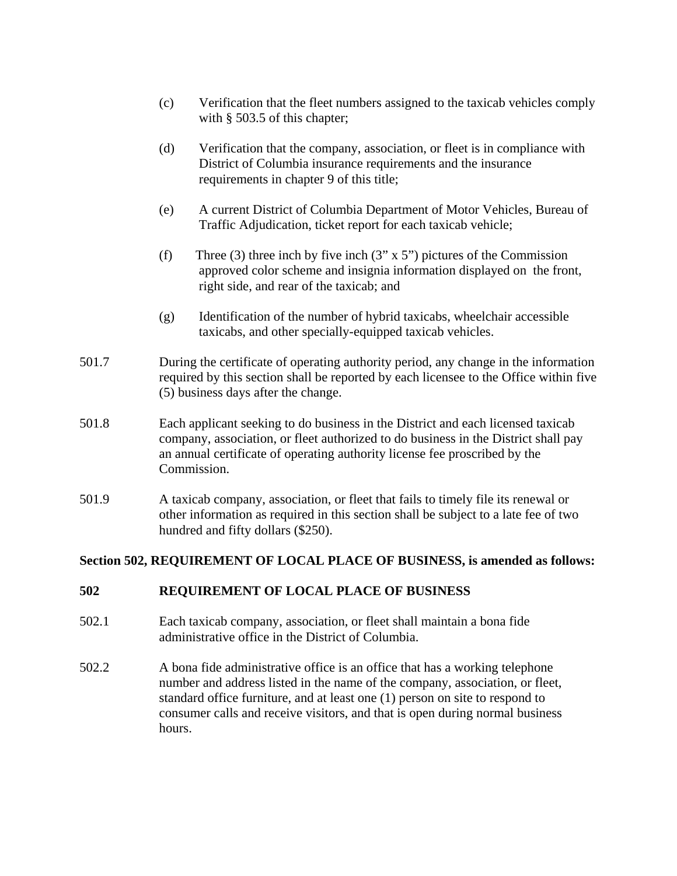- (c) Verification that the fleet numbers assigned to the taxicab vehicles comply with § 503.5 of this chapter;
- (d) Verification that the company, association, or fleet is in compliance with District of Columbia insurance requirements and the insurance requirements in chapter 9 of this title;
- (e) A current District of Columbia Department of Motor Vehicles, Bureau of Traffic Adjudication, ticket report for each taxicab vehicle;
- (f) Three (3) three inch by five inch  $(3'' \times 5'')$  pictures of the Commission approved color scheme and insignia information displayed on the front, right side, and rear of the taxicab; and
- (g) Identification of the number of hybrid taxicabs, wheelchair accessible taxicabs, and other specially-equipped taxicab vehicles.
- 501.7 During the certificate of operating authority period, any change in the information required by this section shall be reported by each licensee to the Office within five (5) business days after the change.
- 501.8 Each applicant seeking to do business in the District and each licensed taxicab company, association, or fleet authorized to do business in the District shall pay an annual certificate of operating authority license fee proscribed by the Commission.
- 501.9 A taxicab company, association, or fleet that fails to timely file its renewal or other information as required in this section shall be subject to a late fee of two hundred and fifty dollars (\$250).

# **Section 502, REQUIREMENT OF LOCAL PLACE OF BUSINESS, is amended as follows:**

# **502 REQUIREMENT OF LOCAL PLACE OF BUSINESS**

- 502.1 Each taxicab company, association, or fleet shall maintain a bona fide administrative office in the District of Columbia.
- 502.2 A bona fide administrative office is an office that has a working telephone number and address listed in the name of the company, association, or fleet, standard office furniture, and at least one (1) person on site to respond to consumer calls and receive visitors, and that is open during normal business hours.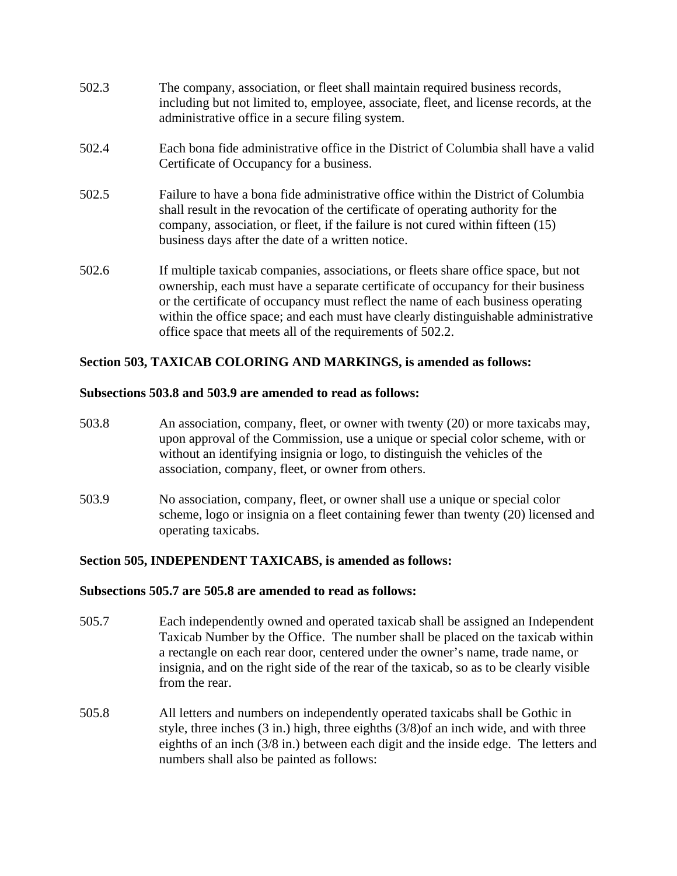- 502.3 The company, association, or fleet shall maintain required business records, including but not limited to, employee, associate, fleet, and license records, at the administrative office in a secure filing system.
- 502.4 Each bona fide administrative office in the District of Columbia shall have a valid Certificate of Occupancy for a business.
- 502.5 Failure to have a bona fide administrative office within the District of Columbia shall result in the revocation of the certificate of operating authority for the company, association, or fleet, if the failure is not cured within fifteen (15) business days after the date of a written notice.
- 502.6 If multiple taxicab companies, associations, or fleets share office space, but not ownership, each must have a separate certificate of occupancy for their business or the certificate of occupancy must reflect the name of each business operating within the office space; and each must have clearly distinguishable administrative office space that meets all of the requirements of 502.2.

## **Section 503, TAXICAB COLORING AND MARKINGS, is amended as follows:**

#### **Subsections 503.8 and 503.9 are amended to read as follows:**

- 503.8 An association, company, fleet, or owner with twenty (20) or more taxicabs may, upon approval of the Commission, use a unique or special color scheme, with or without an identifying insignia or logo, to distinguish the vehicles of the association, company, fleet, or owner from others.
- 503.9 No association, company, fleet, or owner shall use a unique or special color scheme, logo or insignia on a fleet containing fewer than twenty (20) licensed and operating taxicabs.

## **Section 505, INDEPENDENT TAXICABS, is amended as follows:**

#### **Subsections 505.7 are 505.8 are amended to read as follows:**

- 505.7 Each independently owned and operated taxicab shall be assigned an Independent Taxicab Number by the Office. The number shall be placed on the taxicab within a rectangle on each rear door, centered under the owner's name, trade name, or insignia, and on the right side of the rear of the taxicab, so as to be clearly visible from the rear.
- 505.8 All letters and numbers on independently operated taxicabs shall be Gothic in style, three inches (3 in.) high, three eighths (3/8)of an inch wide, and with three eighths of an inch (3/8 in.) between each digit and the inside edge. The letters and numbers shall also be painted as follows: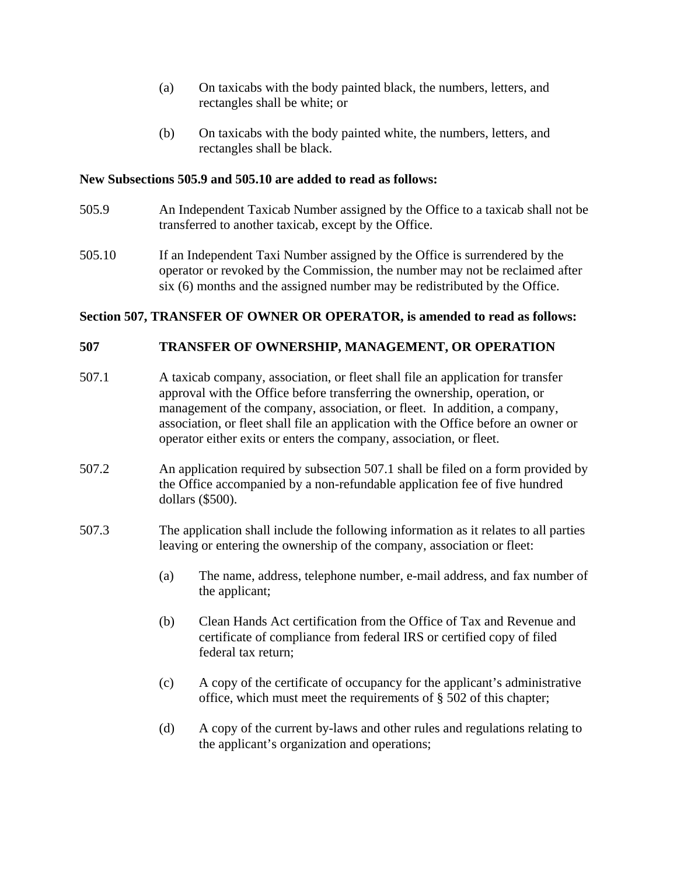- (a) On taxicabs with the body painted black, the numbers, letters, and rectangles shall be white; or
- (b) On taxicabs with the body painted white, the numbers, letters, and rectangles shall be black.

### **New Subsections 505.9 and 505.10 are added to read as follows:**

- 505.9 An Independent Taxicab Number assigned by the Office to a taxicab shall not be transferred to another taxicab, except by the Office.
- 505.10 If an Independent Taxi Number assigned by the Office is surrendered by the operator or revoked by the Commission, the number may not be reclaimed after six (6) months and the assigned number may be redistributed by the Office.

#### **Section 507, TRANSFER OF OWNER OR OPERATOR, is amended to read as follows:**

## **507 TRANSFER OF OWNERSHIP, MANAGEMENT, OR OPERATION**

- 507.1 A taxicab company, association, or fleet shall file an application for transfer approval with the Office before transferring the ownership, operation, or management of the company, association, or fleet. In addition, a company, association, or fleet shall file an application with the Office before an owner or operator either exits or enters the company, association, or fleet.
- 507.2 An application required by subsection 507.1 shall be filed on a form provided by the Office accompanied by a non-refundable application fee of five hundred dollars (\$500).
- 507.3 The application shall include the following information as it relates to all parties leaving or entering the ownership of the company, association or fleet:
	- (a) The name, address, telephone number, e-mail address, and fax number of the applicant;
	- (b) Clean Hands Act certification from the Office of Tax and Revenue and certificate of compliance from federal IRS or certified copy of filed federal tax return;
	- (c) A copy of the certificate of occupancy for the applicant's administrative office, which must meet the requirements of § 502 of this chapter;
	- (d) A copy of the current by-laws and other rules and regulations relating to the applicant's organization and operations;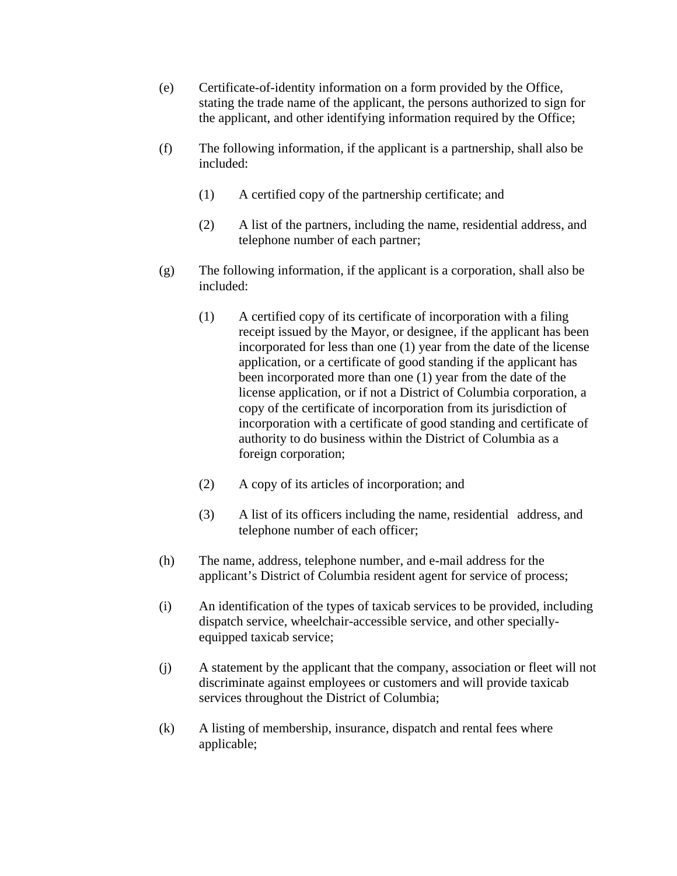- (e) Certificate-of-identity information on a form provided by the Office, stating the trade name of the applicant, the persons authorized to sign for the applicant, and other identifying information required by the Office;
- (f) The following information, if the applicant is a partnership, shall also be included:
	- (1) A certified copy of the partnership certificate; and
	- (2) A list of the partners, including the name, residential address, and telephone number of each partner;
- (g) The following information, if the applicant is a corporation, shall also be included:
	- (1) A certified copy of its certificate of incorporation with a filing receipt issued by the Mayor, or designee, if the applicant has been incorporated for less than one (1) year from the date of the license application, or a certificate of good standing if the applicant has been incorporated more than one (1) year from the date of the license application, or if not a District of Columbia corporation, a copy of the certificate of incorporation from its jurisdiction of incorporation with a certificate of good standing and certificate of authority to do business within the District of Columbia as a foreign corporation;
	- (2) A copy of its articles of incorporation; and
	- (3) A list of its officers including the name, residential address, and telephone number of each officer;
- (h) The name, address, telephone number, and e-mail address for the applicant's District of Columbia resident agent for service of process;
- (i) An identification of the types of taxicab services to be provided, including dispatch service, wheelchair-accessible service, and other speciallyequipped taxicab service;
- (j) A statement by the applicant that the company, association or fleet will not discriminate against employees or customers and will provide taxicab services throughout the District of Columbia;
- (k) A listing of membership, insurance, dispatch and rental fees where applicable;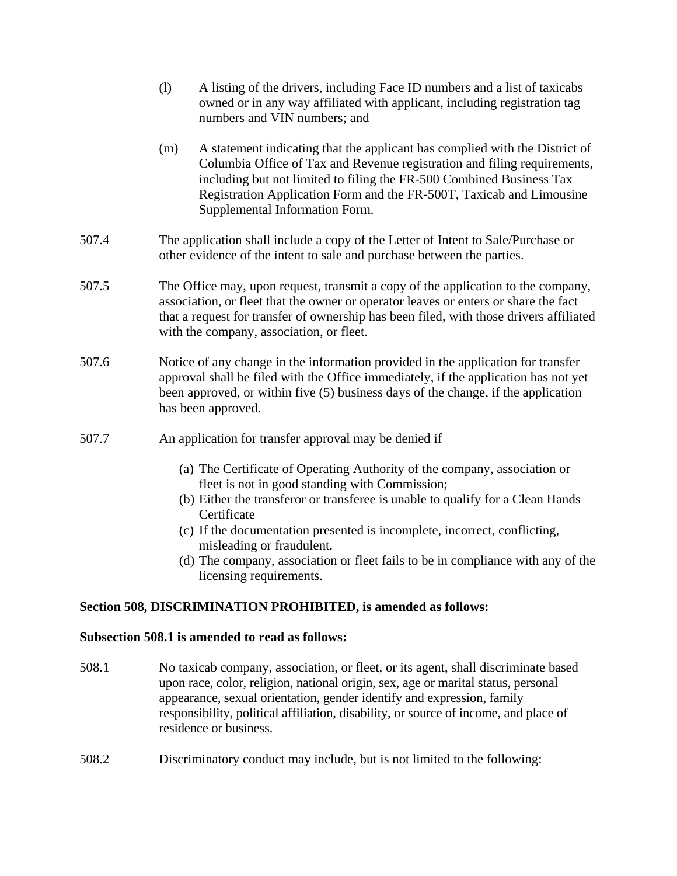|       | (1)                                                                                                                                                                                                                                                                                                           | A listing of the drivers, including Face ID numbers and a list of taxicabs<br>owned or in any way affiliated with applicant, including registration tag<br>numbers and VIN numbers; and                                                                                                                                                   |
|-------|---------------------------------------------------------------------------------------------------------------------------------------------------------------------------------------------------------------------------------------------------------------------------------------------------------------|-------------------------------------------------------------------------------------------------------------------------------------------------------------------------------------------------------------------------------------------------------------------------------------------------------------------------------------------|
|       | (m)                                                                                                                                                                                                                                                                                                           | A statement indicating that the applicant has complied with the District of<br>Columbia Office of Tax and Revenue registration and filing requirements,<br>including but not limited to filing the FR-500 Combined Business Tax<br>Registration Application Form and the FR-500T, Taxicab and Limousine<br>Supplemental Information Form. |
| 507.4 | The application shall include a copy of the Letter of Intent to Sale/Purchase or<br>other evidence of the intent to sale and purchase between the parties.                                                                                                                                                    |                                                                                                                                                                                                                                                                                                                                           |
| 507.5 | The Office may, upon request, transmit a copy of the application to the company,<br>association, or fleet that the owner or operator leaves or enters or share the fact<br>that a request for transfer of ownership has been filed, with those drivers affiliated<br>with the company, association, or fleet. |                                                                                                                                                                                                                                                                                                                                           |
| 507.6 |                                                                                                                                                                                                                                                                                                               | Notice of any change in the information provided in the application for transfer<br>approval shall be filed with the Office immediately, if the application has not yet<br>been approved, or within five (5) business days of the change, if the application<br>has been approved.                                                        |
| 507.7 |                                                                                                                                                                                                                                                                                                               | An application for transfer approval may be denied if                                                                                                                                                                                                                                                                                     |

- (a) The Certificate of Operating Authority of the company, association or fleet is not in good standing with Commission;
- (b) Either the transferor or transferee is unable to qualify for a Clean Hands Certificate
- (c) If the documentation presented is incomplete, incorrect, conflicting, misleading or fraudulent.
- (d) The company, association or fleet fails to be in compliance with any of the licensing requirements.

# **Section 508, DISCRIMINATION PROHIBITED, is amended as follows:**

## **Subsection 508.1 is amended to read as follows:**

- 508.1 No taxicab company, association, or fleet, or its agent, shall discriminate based upon race, color, religion, national origin, sex, age or marital status, personal appearance, sexual orientation, gender identify and expression, family responsibility, political affiliation, disability, or source of income, and place of residence or business.
- 508.2 Discriminatory conduct may include, but is not limited to the following: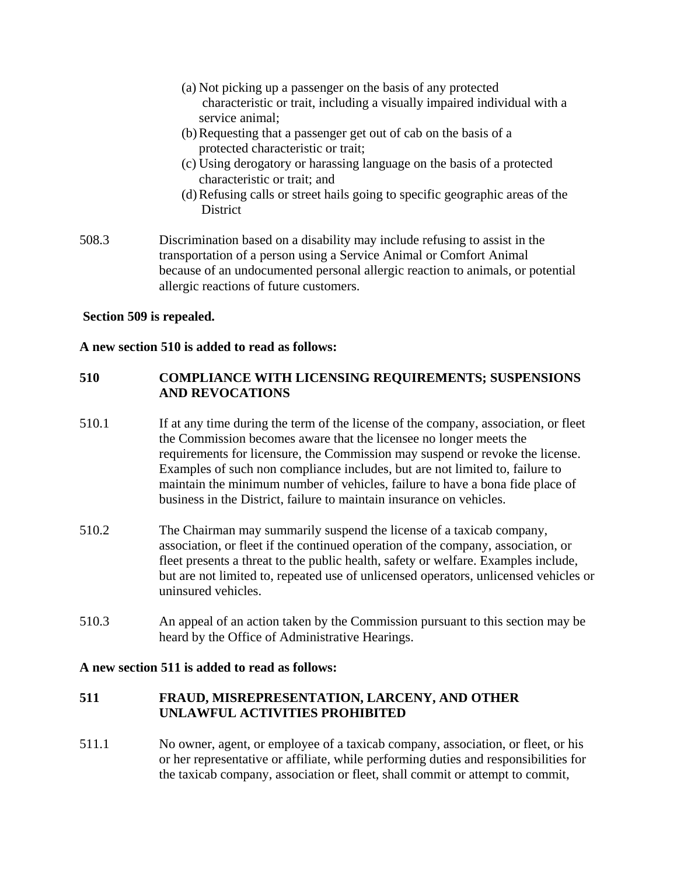- (a) Not picking up a passenger on the basis of any protected characteristic or trait, including a visually impaired individual with a service animal;
- (b)Requesting that a passenger get out of cab on the basis of a protected characteristic or trait;
- (c) Using derogatory or harassing language on the basis of a protected characteristic or trait; and
- (d)Refusing calls or street hails going to specific geographic areas of the **District**
- 508.3 Discrimination based on a disability may include refusing to assist in the transportation of a person using a Service Animal or Comfort Animal because of an undocumented personal allergic reaction to animals, or potential allergic reactions of future customers.

## **Section 509 is repealed.**

#### **A new section 510 is added to read as follows:**

# **510 COMPLIANCE WITH LICENSING REQUIREMENTS; SUSPENSIONS AND REVOCATIONS**

- 510.1 If at any time during the term of the license of the company, association, or fleet the Commission becomes aware that the licensee no longer meets the requirements for licensure, the Commission may suspend or revoke the license. Examples of such non compliance includes, but are not limited to, failure to maintain the minimum number of vehicles, failure to have a bona fide place of business in the District, failure to maintain insurance on vehicles.
- 510.2 The Chairman may summarily suspend the license of a taxicab company, association, or fleet if the continued operation of the company, association, or fleet presents a threat to the public health, safety or welfare. Examples include, but are not limited to, repeated use of unlicensed operators, unlicensed vehicles or uninsured vehicles.
- 510.3 An appeal of an action taken by the Commission pursuant to this section may be heard by the Office of Administrative Hearings.

#### **A new section 511 is added to read as follows:**

## **511 FRAUD, MISREPRESENTATION, LARCENY, AND OTHER UNLAWFUL ACTIVITIES PROHIBITED**

511.1 No owner, agent, or employee of a taxicab company, association, or fleet, or his or her representative or affiliate, while performing duties and responsibilities for the taxicab company, association or fleet, shall commit or attempt to commit,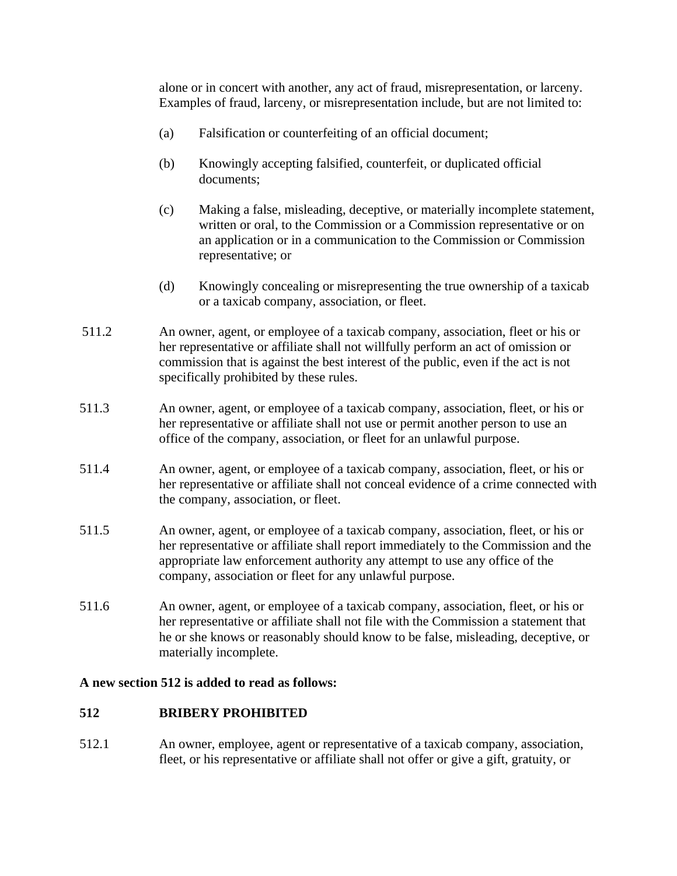alone or in concert with another, any act of fraud, misrepresentation, or larceny. Examples of fraud, larceny, or misrepresentation include, but are not limited to:

- (a) Falsification or counterfeiting of an official document;
- (b) Knowingly accepting falsified, counterfeit, or duplicated official documents;
- (c) Making a false, misleading, deceptive, or materially incomplete statement, written or oral, to the Commission or a Commission representative or on an application or in a communication to the Commission or Commission representative; or
- (d) Knowingly concealing or misrepresenting the true ownership of a taxicab or a taxicab company, association, or fleet.
- 511.2 An owner, agent, or employee of a taxicab company, association, fleet or his or her representative or affiliate shall not willfully perform an act of omission or commission that is against the best interest of the public, even if the act is not specifically prohibited by these rules.
- 511.3 An owner, agent, or employee of a taxicab company, association, fleet, or his or her representative or affiliate shall not use or permit another person to use an office of the company, association, or fleet for an unlawful purpose.
- 511.4 An owner, agent, or employee of a taxicab company, association, fleet, or his or her representative or affiliate shall not conceal evidence of a crime connected with the company, association, or fleet.
- 511.5 An owner, agent, or employee of a taxicab company, association, fleet, or his or her representative or affiliate shall report immediately to the Commission and the appropriate law enforcement authority any attempt to use any office of the company, association or fleet for any unlawful purpose.
- 511.6 An owner, agent, or employee of a taxicab company, association, fleet, or his or her representative or affiliate shall not file with the Commission a statement that he or she knows or reasonably should know to be false, misleading, deceptive, or materially incomplete.

## **A new section 512 is added to read as follows:**

## **512 BRIBERY PROHIBITED**

512.1 An owner, employee, agent or representative of a taxicab company, association, fleet, or his representative or affiliate shall not offer or give a gift, gratuity, or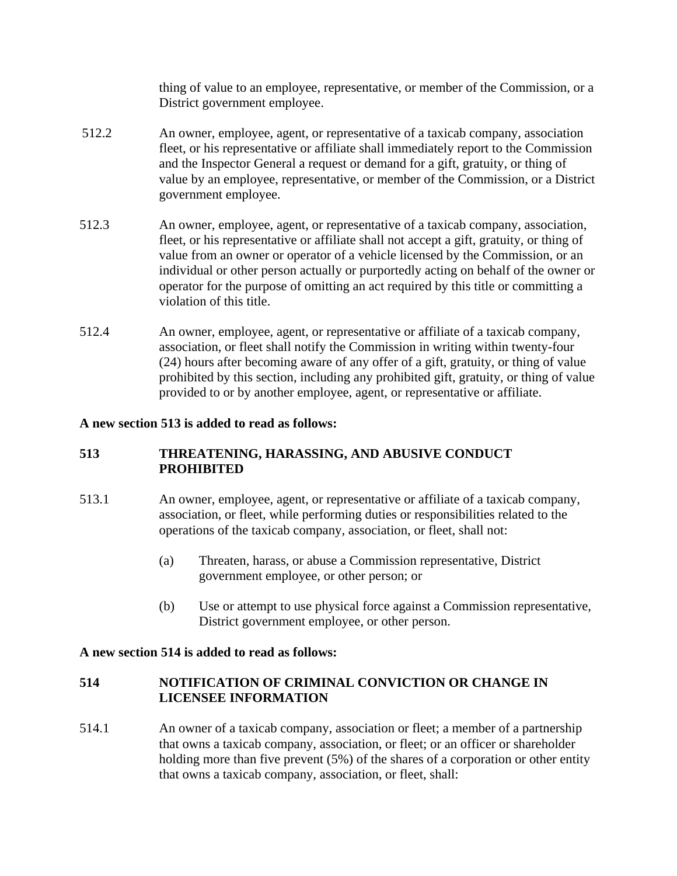thing of value to an employee, representative, or member of the Commission, or a District government employee.

- 512.2 An owner, employee, agent, or representative of a taxicab company, association fleet, or his representative or affiliate shall immediately report to the Commission and the Inspector General a request or demand for a gift, gratuity, or thing of value by an employee, representative, or member of the Commission, or a District government employee.
- 512.3 An owner, employee, agent, or representative of a taxicab company, association, fleet, or his representative or affiliate shall not accept a gift, gratuity, or thing of value from an owner or operator of a vehicle licensed by the Commission, or an individual or other person actually or purportedly acting on behalf of the owner or operator for the purpose of omitting an act required by this title or committing a violation of this title.
- 512.4 An owner, employee, agent, or representative or affiliate of a taxicab company, association, or fleet shall notify the Commission in writing within twenty-four (24) hours after becoming aware of any offer of a gift, gratuity, or thing of value prohibited by this section, including any prohibited gift, gratuity, or thing of value provided to or by another employee, agent, or representative or affiliate.

## **A new section 513 is added to read as follows:**

# **513 THREATENING, HARASSING, AND ABUSIVE CONDUCT PROHIBITED**

- 513.1 An owner, employee, agent, or representative or affiliate of a taxicab company, association, or fleet, while performing duties or responsibilities related to the operations of the taxicab company, association, or fleet, shall not:
	- (a) Threaten, harass, or abuse a Commission representative, District government employee, or other person; or
	- (b) Use or attempt to use physical force against a Commission representative, District government employee, or other person.

## **A new section 514 is added to read as follows:**

# **514 NOTIFICATION OF CRIMINAL CONVICTION OR CHANGE IN LICENSEE INFORMATION**

514.1 An owner of a taxicab company, association or fleet; a member of a partnership that owns a taxicab company, association, or fleet; or an officer or shareholder holding more than five prevent (5%) of the shares of a corporation or other entity that owns a taxicab company, association, or fleet, shall: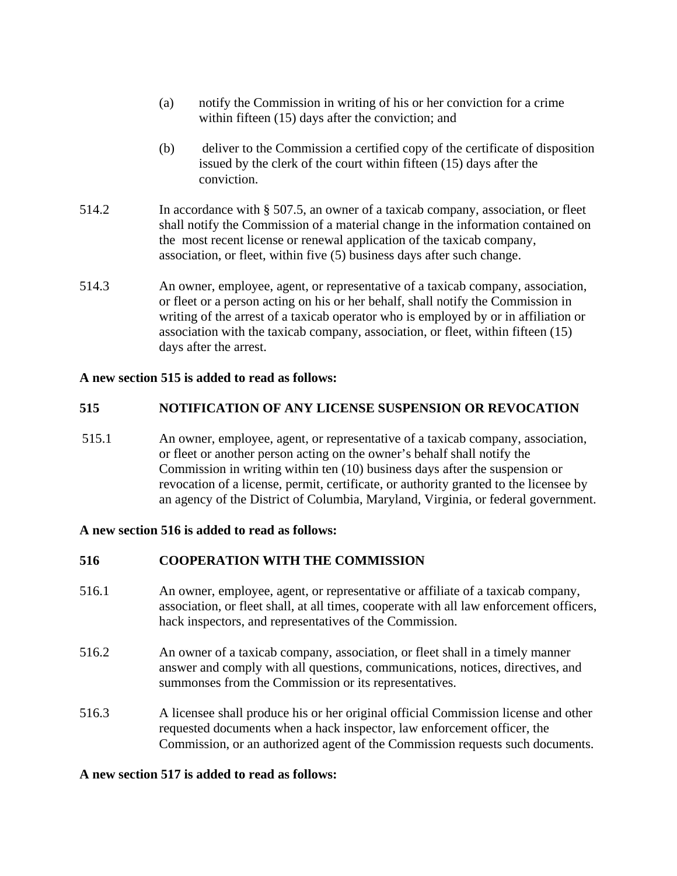- (a) notify the Commission in writing of his or her conviction for a crime within fifteen (15) days after the conviction; and
- (b) deliver to the Commission a certified copy of the certificate of disposition issued by the clerk of the court within fifteen (15) days after the conviction.
- 514.2 In accordance with § 507.5, an owner of a taxicab company, association, or fleet shall notify the Commission of a material change in the information contained on the most recent license or renewal application of the taxicab company, association, or fleet, within five (5) business days after such change.
- 514.3 An owner, employee, agent, or representative of a taxicab company, association, or fleet or a person acting on his or her behalf, shall notify the Commission in writing of the arrest of a taxicab operator who is employed by or in affiliation or association with the taxicab company, association, or fleet, within fifteen (15) days after the arrest.

## **A new section 515 is added to read as follows:**

# **515 NOTIFICATION OF ANY LICENSE SUSPENSION OR REVOCATION**

515.1 An owner, employee, agent, or representative of a taxicab company, association, or fleet or another person acting on the owner's behalf shall notify the Commission in writing within ten (10) business days after the suspension or revocation of a license, permit, certificate, or authority granted to the licensee by an agency of the District of Columbia, Maryland, Virginia, or federal government.

## **A new section 516 is added to read as follows:**

# **516 COOPERATION WITH THE COMMISSION**

- 516.1 An owner, employee, agent, or representative or affiliate of a taxicab company, association, or fleet shall, at all times, cooperate with all law enforcement officers, hack inspectors, and representatives of the Commission.
- 516.2 An owner of a taxicab company, association, or fleet shall in a timely manner answer and comply with all questions, communications, notices, directives, and summonses from the Commission or its representatives.
- 516.3 A licensee shall produce his or her original official Commission license and other requested documents when a hack inspector, law enforcement officer, the Commission, or an authorized agent of the Commission requests such documents.

## **A new section 517 is added to read as follows:**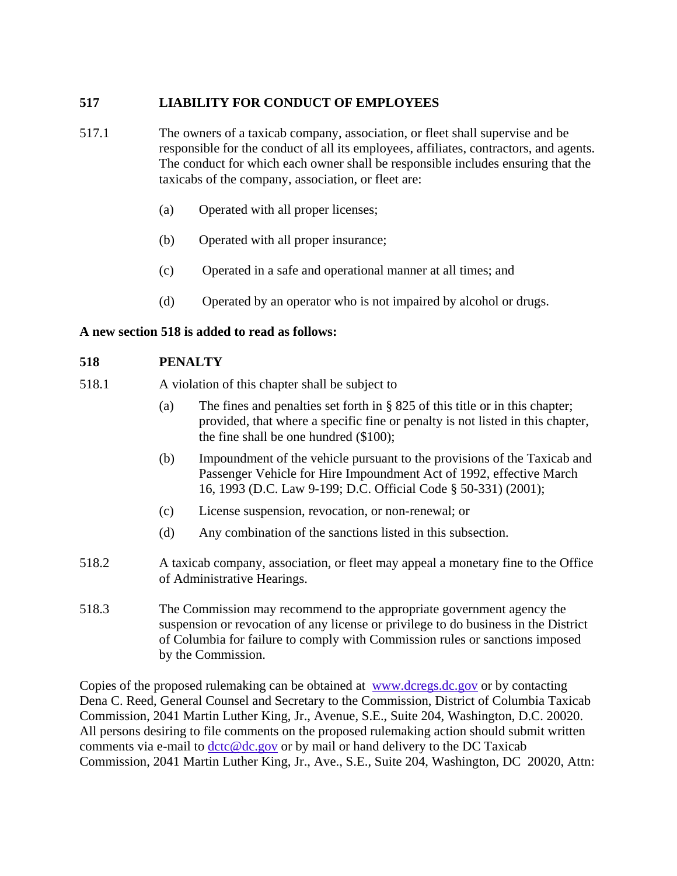# **517 LIABILITY FOR CONDUCT OF EMPLOYEES**

- 517.1 The owners of a taxicab company, association, or fleet shall supervise and be responsible for the conduct of all its employees, affiliates, contractors, and agents. The conduct for which each owner shall be responsible includes ensuring that the taxicabs of the company, association, or fleet are:
	- (a) Operated with all proper licenses;
	- (b) Operated with all proper insurance;
	- (c) Operated in a safe and operational manner at all times; and
	- (d) Operated by an operator who is not impaired by alcohol or drugs.

## **A new section 518 is added to read as follows:**

## **518 PENALTY**

- 518.1 A violation of this chapter shall be subject to
	- (a) The fines and penalties set forth in § 825 of this title or in this chapter; provided, that where a specific fine or penalty is not listed in this chapter, the fine shall be one hundred (\$100);
	- (b) Impoundment of the vehicle pursuant to the provisions of the Taxicab and Passenger Vehicle for Hire Impoundment Act of 1992, effective March 16, 1993 (D.C. Law 9-199; D.C. Official Code § 50-331) (2001);
	- (c) License suspension, revocation, or non-renewal; or
	- (d) Any combination of the sanctions listed in this subsection.
- 518.2 A taxicab company, association, or fleet may appeal a monetary fine to the Office of Administrative Hearings.
- 518.3 The Commission may recommend to the appropriate government agency the suspension or revocation of any license or privilege to do business in the District of Columbia for failure to comply with Commission rules or sanctions imposed by the Commission.

Copies of the proposed rulemaking can be obtained at [www.dcregs.dc.gov](http://www.dcdocs.dc.gov/) or by contacting Dena C. Reed, General Counsel and Secretary to the Commission, District of Columbia Taxicab Commission, 2041 Martin Luther King, Jr., Avenue, S.E., Suite 204, Washington, D.C. 20020. All persons desiring to file comments on the proposed rulemaking action should submit written comments via e-mail to  $det(\mathcal{Q}d\mathcal{C},\mathcal{Q}d\mathcal{C})$  or by mail or hand delivery to the DC Taxicab Commission, 2041 Martin Luther King, Jr., Ave., S.E., Suite 204, Washington, DC 20020, Attn: